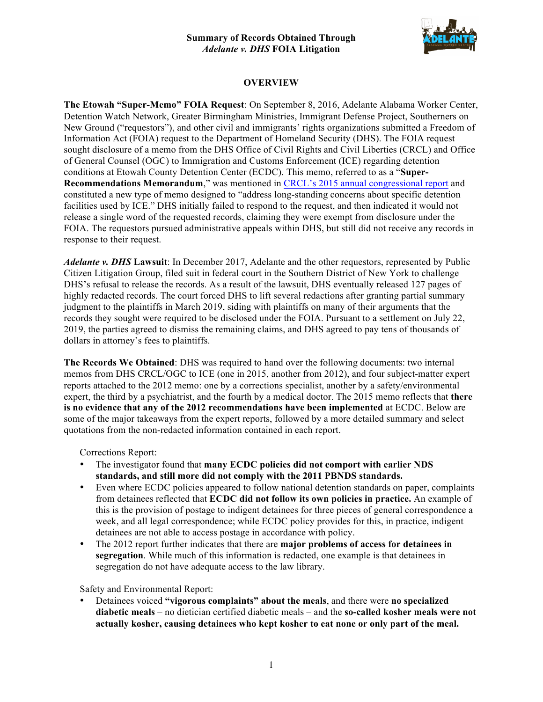

### **OVERVIEW**

**The Etowah "Super-Memo" FOIA Request**: On September 8, 2016, Adelante Alabama Worker Center, Detention Watch Network, Greater Birmingham Ministries, Immigrant Defense Project, Southerners on New Ground ("requestors"), and other civil and immigrants' rights organizations submitted a Freedom of Information Act (FOIA) request to the Department of Homeland Security (DHS). The FOIA request sought disclosure of a memo from the DHS Office of Civil Rights and Civil Liberties (CRCL) and Office of General Counsel (OGC) to Immigration and Customs Enforcement (ICE) regarding detention conditions at Etowah County Detention Center (ECDC). This memo, referred to as a "**Super-Recommendations Memorandum**," was mentioned in CRCL's 2015 annual congressional report and constituted a new type of memo designed to "address long-standing concerns about specific detention facilities used by ICE." DHS initially failed to respond to the request, and then indicated it would not release a single word of the requested records, claiming they were exempt from disclosure under the FOIA. The requestors pursued administrative appeals within DHS, but still did not receive any records in response to their request.

*Adelante v. DHS* **Lawsuit**: In December 2017, Adelante and the other requestors, represented by Public Citizen Litigation Group, filed suit in federal court in the Southern District of New York to challenge DHS's refusal to release the records. As a result of the lawsuit, DHS eventually released 127 pages of highly redacted records. The court forced DHS to lift several redactions after granting partial summary judgment to the plaintiffs in March 2019, siding with plaintiffs on many of their arguments that the records they sought were required to be disclosed under the FOIA. Pursuant to a settlement on July 22, 2019, the parties agreed to dismiss the remaining claims, and DHS agreed to pay tens of thousands of dollars in attorney's fees to plaintiffs.

**The Records We Obtained**: DHS was required to hand over the following documents: two internal memos from DHS CRCL/OGC to ICE (one in 2015, another from 2012), and four subject-matter expert reports attached to the 2012 memo: one by a corrections specialist, another by a safety/environmental expert, the third by a psychiatrist, and the fourth by a medical doctor. The 2015 memo reflects that **there is no evidence that any of the 2012 recommendations have been implemented** at ECDC. Below are some of the major takeaways from the expert reports, followed by a more detailed summary and select quotations from the non-redacted information contained in each report.

Corrections Report:

- The investigator found that **many ECDC policies did not comport with earlier NDS standards, and still more did not comply with the 2011 PBNDS standards.**
- Even where ECDC policies appeared to follow national detention standards on paper, complaints from detainees reflected that **ECDC did not follow its own policies in practice.** An example of this is the provision of postage to indigent detainees for three pieces of general correspondence a week, and all legal correspondence; while ECDC policy provides for this, in practice, indigent detainees are not able to access postage in accordance with policy.
- The 2012 report further indicates that there are **major problems of access for detainees in segregation**. While much of this information is redacted, one example is that detainees in segregation do not have adequate access to the law library.

Safety and Environmental Report:

• Detainees voiced **"vigorous complaints" about the meals**, and there were **no specialized diabetic meals** – no dietician certified diabetic meals – and the **so-called kosher meals were not actually kosher, causing detainees who kept kosher to eat none or only part of the meal.**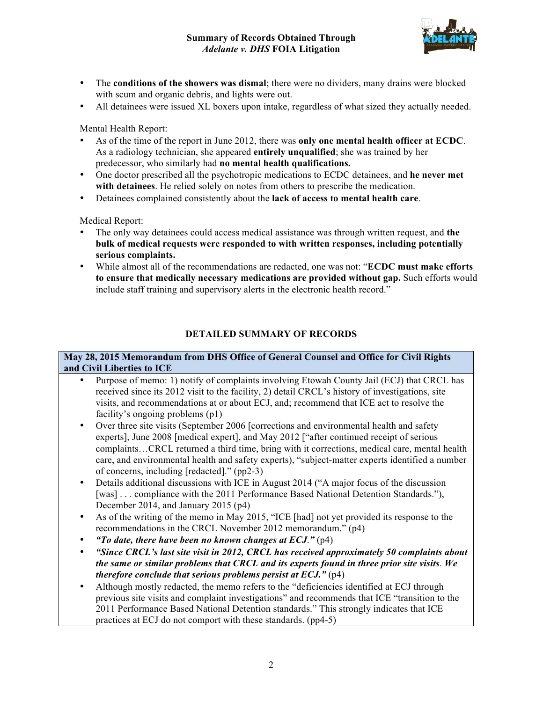

- The **conditions of the showers was dismal**; there were no dividers, many drains were blocked with scum and organic debris, and lights were out.
- All detainees were issued XL boxers upon intake, regardless of what sized they actually needed.

Mental Health Report:

- As of the time of the report in June 2012, there was **only one mental health officer at ECDC**. As a radiology technician, she appeared **entirely unqualified**; she was trained by her predecessor, who similarly had **no mental health qualifications.**
- One doctor prescribed all the psychotropic medications to ECDC detainees, and **he never met with detainees**. He relied solely on notes from others to prescribe the medication.
- Detainees complained consistently about the **lack of access to mental health care**.

Medical Report:

- The only way detainees could access medical assistance was through written request, and **the bulk of medical requests were responded to with written responses, including potentially serious complaints.**
- While almost all of the recommendations are redacted, one was not: "**ECDC must make efforts to ensure that medically necessary medications are provided without gap.** Such efforts would include staff training and supervisory alerts in the electronic health record."

# **DETAILED SUMMARY OF RECORDS**

#### **May 28, 2015 Memorandum from DHS Office of General Counsel and Office for Civil Rights and Civil Liberties to ICE**

- Purpose of memo: 1) notify of complaints involving Etowah County Jail (ECJ) that CRCL has received since its 2012 visit to the facility, 2) detail CRCL's history of investigations, site visits, and recommendations at or about ECJ, and; recommend that ICE act to resolve the facility's ongoing problems (p1)
- Over three site visits (September 2006 [corrections and environmental health and safety experts], June 2008 [medical expert], and May 2012 ["after continued receipt of serious complaints…CRCL returned a third time, bring with it corrections, medical care, mental health care, and environmental health and safety experts), "subject-matter experts identified a number of concerns, including [redacted]." (pp2-3)
- Details additional discussions with ICE in August 2014 ("A major focus of the discussion [was] . . . compliance with the 2011 Performance Based National Detention Standards."), December 2014, and January 2015 (p4)
- As of the writing of the memo in May 2015, "ICE [had] not yet provided its response to the recommendations in the CRCL November 2012 memorandum." (p4)
- *"To date, there have been no known changes at ECJ*.*"* (p4)
- *"Since CRCL's last site visit in 2012, CRCL has received approximately 50 complaints about the same or similar problems that CRCL and its experts found in three prior site visits*. *We therefore conclude that serious problems persist at ECJ.*" (p4)
- Although mostly redacted, the memo refers to the "deficiencies identified at ECJ through previous site visits and complaint investigations" and recommends that ICE "transition to the 2011 Performance Based National Detention standards." This strongly indicates that ICE practices at ECJ do not comport with these standards. (pp4-5)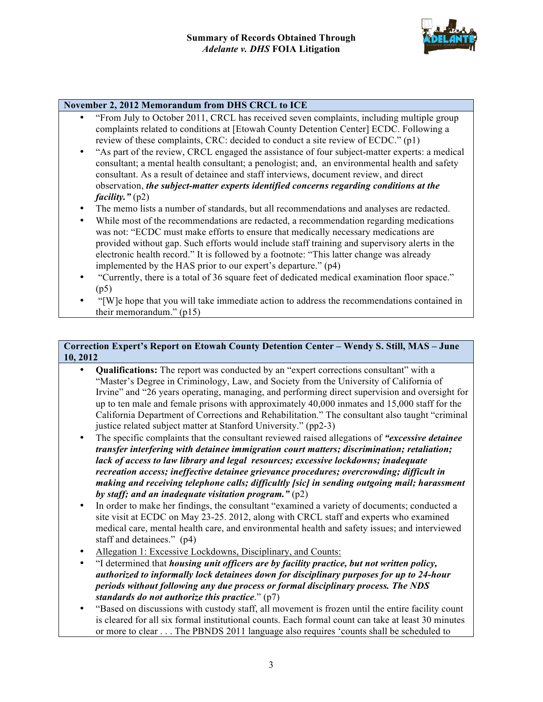

#### **November 2, 2012 Memorandum from DHS CRCL to ICE**

- "From July to October 2011, CRCL has received seven complaints, including multiple group complaints related to conditions at [Etowah County Detention Center] ECDC. Following a review of these complaints, CRC: decided to conduct a site review of ECDC." (p1)
- "As part of the review, CRCL engaged the assistance of four subject-matter experts: a medical consultant; a mental health consultant; a penologist; and, an environmental health and safety consultant. As a result of detainee and staff interviews, document review, and direct observation, *the subject-matter experts identified concerns regarding conditions at the facility."* (p2)
- The memo lists a number of standards, but all recommendations and analyses are redacted.
- While most of the recommendations are redacted, a recommendation regarding medications was not: "ECDC must make efforts to ensure that medically necessary medications are provided without gap. Such efforts would include staff training and supervisory alerts in the electronic health record." It is followed by a footnote: "This latter change was already implemented by the HAS prior to our expert's departure." (p4)
- "Currently, there is a total of 36 square feet of dedicated medical examination floor space." (p5)
- "[W]e hope that you will take immediate action to address the recommendations contained in their memorandum." (p15)

### **Correction Expert's Report on Etowah County Detention Center – Wendy S. Still, MAS – June 10, 2012**

- **Qualifications:** The report was conducted by an "expert corrections consultant" with a "Master's Degree in Criminology, Law, and Society from the University of California of Irvine" and "26 years operating, managing, and performing direct supervision and oversight for up to ten male and female prisons with approximately 40,000 inmates and 15,000 staff for the California Department of Corrections and Rehabilitation." The consultant also taught "criminal justice related subject matter at Stanford University." (pp2-3)
- The specific complaints that the consultant reviewed raised allegations of *"excessive detainee transfer interfering with detainee immigration court matters; discrimination; retaliation; lack of access to law library and legal resources; excessive lockdowns; inadequate recreation access; ineffective detainee grievance procedures; overcrowding; difficult in making and receiving telephone calls; difficultly [sic] in sending outgoing mail; harassment by staff; and an inadequate visitation program."* (p2)
- In order to make her findings, the consultant "examined a variety of documents; conducted a site visit at ECDC on May 23-25. 2012, along with CRCL staff and experts who examined medical care, mental health care, and environmental health and safety issues; and interviewed staff and detainees." (p4)
- Allegation 1: Excessive Lockdowns, Disciplinary, and Counts:
- "I determined that *housing unit officers are by facility practice, but not written policy, authorized to informally lock detainees down for disciplinary purposes for up to 24-hour periods without following any due process or formal disciplinary process. The NDS standards do not authorize this practice*." (p7)
- "Based on discussions with custody staff, all movement is frozen until the entire facility count is cleared for all six formal institutional counts. Each formal count can take at least 30 minutes or more to clear . . . The PBNDS 2011 language also requires 'counts shall be scheduled to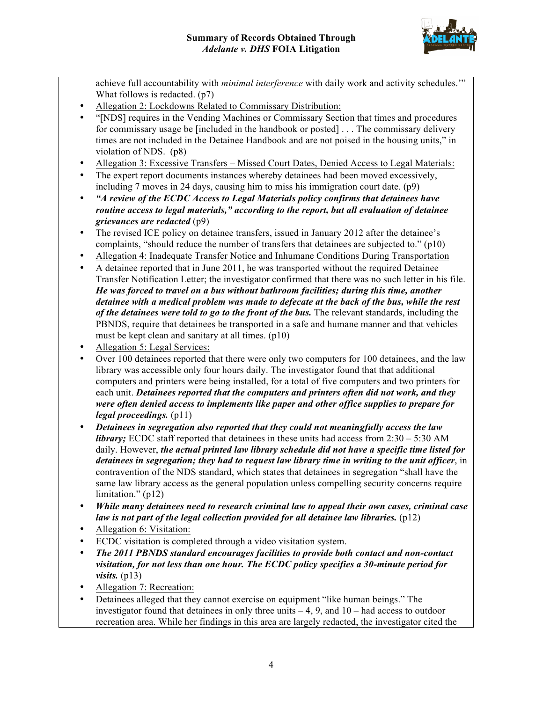

achieve full accountability with *minimal interference* with daily work and activity schedules.'" What follows is redacted. (p7)

- Allegation 2: Lockdowns Related to Commissary Distribution:
- "[NDS] requires in the Vending Machines or Commissary Section that times and procedures for commissary usage be [included in the handbook or posted] . . . The commissary delivery times are not included in the Detainee Handbook and are not poised in the housing units," in violation of NDS. (p8)
- Allegation 3: Excessive Transfers Missed Court Dates, Denied Access to Legal Materials:
- The expert report documents instances whereby detainees had been moved excessively, including 7 moves in 24 days, causing him to miss his immigration court date. (p9)
- *"A review of the ECDC Access to Legal Materials policy confirms that detainees have routine access to legal materials," according to the report, but all evaluation of detainee grievances are redacted* (p9)
- The revised ICE policy on detainee transfers, issued in January 2012 after the detainee's complaints, "should reduce the number of transfers that detainees are subjected to." (p10)
- Allegation 4: Inadequate Transfer Notice and Inhumane Conditions During Transportation
- A detainee reported that in June 2011, he was transported without the required Detainee Transfer Notification Letter; the investigator confirmed that there was no such letter in his file. *He was forced to travel on a bus without bathroom facilities; during this time, another detainee with a medical problem was made to defecate at the back of the bus, while the rest of the detainees were told to go to the front of the bus.* The relevant standards, including the PBNDS, require that detainees be transported in a safe and humane manner and that vehicles must be kept clean and sanitary at all times. (p10)
- Allegation 5: Legal Services:
- Over 100 detainees reported that there were only two computers for 100 detainees, and the law library was accessible only four hours daily. The investigator found that that additional computers and printers were being installed, for a total of five computers and two printers for each unit. *Detainees reported that the computers and printers often did not work, and they were often denied access to implements like paper and other office supplies to prepare for legal proceedings.* (p11)
- *Detainees in segregation also reported that they could not meaningfully access the law library*; ECDC staff reported that detainees in these units had access from  $2:30 - 5:30$  AM daily. However, *the actual printed law library schedule did not have a specific time listed for detainees in segregation; they had to request law library time in writing to the unit officer*, in contravention of the NDS standard, which states that detainees in segregation "shall have the same law library access as the general population unless compelling security concerns require limitation." (p12)
- *While many detainees need to research criminal law to appeal their own cases, criminal case law is not part of the legal collection provided for all detainee law libraries.* (p12)
- Allegation 6: Visitation:
- ECDC visitation is completed through a video visitation system.
- *The 2011 PBNDS standard encourages facilities to provide both contact and non-contact visitation, for not less than one hour. The ECDC policy specifies a 30-minute period for visits.* (p13)
- Allegation 7: Recreation:
- Detainees alleged that they cannot exercise on equipment "like human beings." The investigator found that detainees in only three units  $-4$ , 9, and  $10 -$  had access to outdoor recreation area. While her findings in this area are largely redacted, the investigator cited the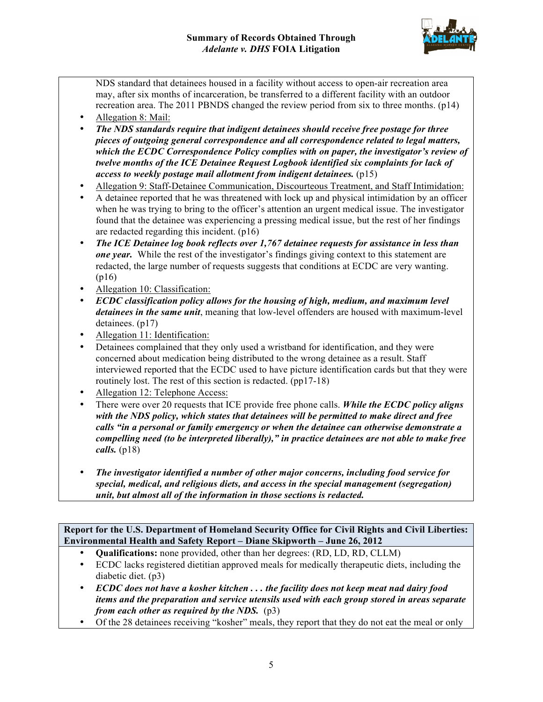

NDS standard that detainees housed in a facility without access to open-air recreation area may, after six months of incarceration, be transferred to a different facility with an outdoor recreation area. The 2011 PBNDS changed the review period from six to three months. (p14)

- Allegation 8: Mail:
- *The NDS standards require that indigent detainees should receive free postage for three pieces of outgoing general correspondence and all correspondence related to legal matters, which the ECDC Correspondence Policy complies with on paper, the investigator's review of twelve months of the ICE Detainee Request Logbook identified six complaints for lack of access to weekly postage mail allotment from indigent detainees.* (p15)
- Allegation 9: Staff-Detainee Communication, Discourteous Treatment, and Staff Intimidation:
- A detainee reported that he was threatened with lock up and physical intimidation by an officer when he was trying to bring to the officer's attention an urgent medical issue. The investigator found that the detainee was experiencing a pressing medical issue, but the rest of her findings are redacted regarding this incident. (p16)
- *The ICE Detainee log book reflects over 1,767 detainee requests for assistance in less than one year.* While the rest of the investigator's findings giving context to this statement are redacted, the large number of requests suggests that conditions at ECDC are very wanting. (p16)
- Allegation 10: Classification:
- *ECDC classification policy allows for the housing of high, medium, and maximum level detainees in the same unit*, meaning that low-level offenders are housed with maximum-level detainees. (p17)
- Allegation 11: Identification:
- Detainees complained that they only used a wristband for identification, and they were concerned about medication being distributed to the wrong detainee as a result. Staff interviewed reported that the ECDC used to have picture identification cards but that they were routinely lost. The rest of this section is redacted. (pp17-18)
- Allegation 12: Telephone Access:
- There were over 20 requests that ICE provide free phone calls. *While the ECDC policy aligns with the NDS policy, which states that detainees will be permitted to make direct and free calls "in a personal or family emergency or when the detainee can otherwise demonstrate a compelling need (to be interpreted liberally)," in practice detainees are not able to make free calls.* (p18)
- *The investigator identified a number of other major concerns, including food service for special, medical, and religious diets, and access in the special management (segregation) unit, but almost all of the information in those sections is redacted.*

**Report for the U.S. Department of Homeland Security Office for Civil Rights and Civil Liberties: Environmental Health and Safety Report – Diane Skipworth – June 26, 2012**

- **Qualifications:** none provided, other than her degrees: (RD, LD, RD, CLLM)
- ECDC lacks registered dietitian approved meals for medically therapeutic diets, including the diabetic diet. (p3)
- *ECDC does not have a kosher kitchen . . . the facility does not keep meat nad dairy food items and the preparation and service utensils used with each group stored in areas separate from each other as required by the NDS.* (p3)
- Of the 28 detainees receiving "kosher" meals, they report that they do not eat the meal or only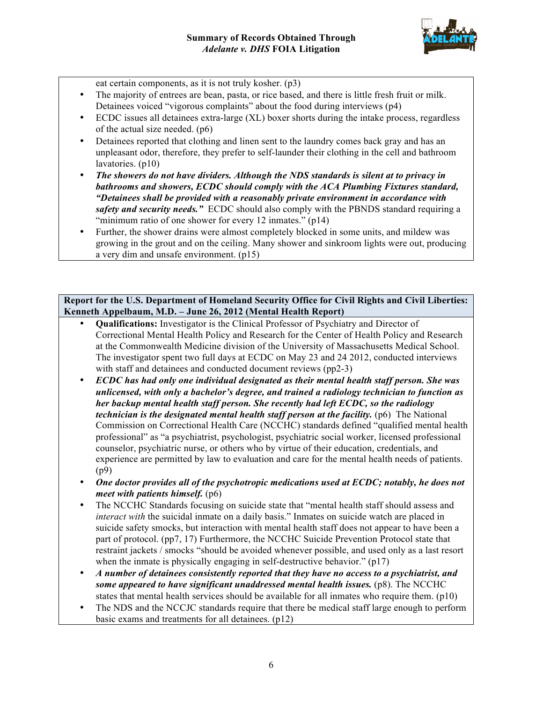

eat certain components, as it is not truly kosher. (p3)

- The majority of entrees are bean, pasta, or rice based, and there is little fresh fruit or milk. Detainees voiced "vigorous complaints" about the food during interviews (p4)
- ECDC issues all detainees extra-large (XL) boxer shorts during the intake process, regardless of the actual size needed. (p6)
- Detainees reported that clothing and linen sent to the laundry comes back gray and has an unpleasant odor, therefore, they prefer to self-launder their clothing in the cell and bathroom lavatories. (p10)
- *The showers do not have dividers. Although the NDS standards is silent at to privacy in bathrooms and showers, ECDC should comply with the ACA Plumbing Fixtures standard, "Detainees shall be provided with a reasonably private environment in accordance with safety and security needs.* ECDC should also comply with the PBNDS standard requiring a "minimum ratio of one shower for every 12 inmates." (p14)
- Further, the shower drains were almost completely blocked in some units, and mildew was growing in the grout and on the ceiling. Many shower and sinkroom lights were out, producing a very dim and unsafe environment. (p15)

## **Report for the U.S. Department of Homeland Security Office for Civil Rights and Civil Liberties: Kenneth Appelbaum, M.D. – June 26, 2012 (Mental Health Report)**

- **Qualifications:** Investigator is the Clinical Professor of Psychiatry and Director of Correctional Mental Health Policy and Research for the Center of Health Policy and Research at the Commonwealth Medicine division of the University of Massachusetts Medical School. The investigator spent two full days at ECDC on May 23 and 24 2012, conducted interviews with staff and detainees and conducted document reviews (pp2-3)
- *ECDC has had only one individual designated as their mental health staff person. She was unlicensed, with only a bachelor's degree, and trained a radiology technician to function as her backup mental health staff person. She recently had left ECDC, so the radiology technician is the designated mental health staff person at the facility.* (p6) The National Commission on Correctional Health Care (NCCHC) standards defined "qualified mental health professional" as "a psychiatrist, psychologist, psychiatric social worker, licensed professional counselor, psychiatric nurse, or others who by virtue of their education, credentials, and experience are permitted by law to evaluation and care for the mental health needs of patients. (p9)
- *One doctor provides all of the psychotropic medications used at ECDC; notably, he does not meet with patients himself.* (p6)
- The NCCHC Standards focusing on suicide state that "mental health staff should assess and *interact with* the suicidal inmate on a daily basis." Inmates on suicide watch are placed in suicide safety smocks, but interaction with mental health staff does not appear to have been a part of protocol. (pp7, 17) Furthermore, the NCCHC Suicide Prevention Protocol state that restraint jackets / smocks "should be avoided whenever possible, and used only as a last resort when the inmate is physically engaging in self-destructive behavior." (p17)
- *A number of detainees consistently reported that they have no access to a psychiatrist, and some appeared to have significant unaddressed mental health issues.* (p8). The NCCHC states that mental health services should be available for all inmates who require them. (p10)
- The NDS and the NCCJC standards require that there be medical staff large enough to perform basic exams and treatments for all detainees. (p12)